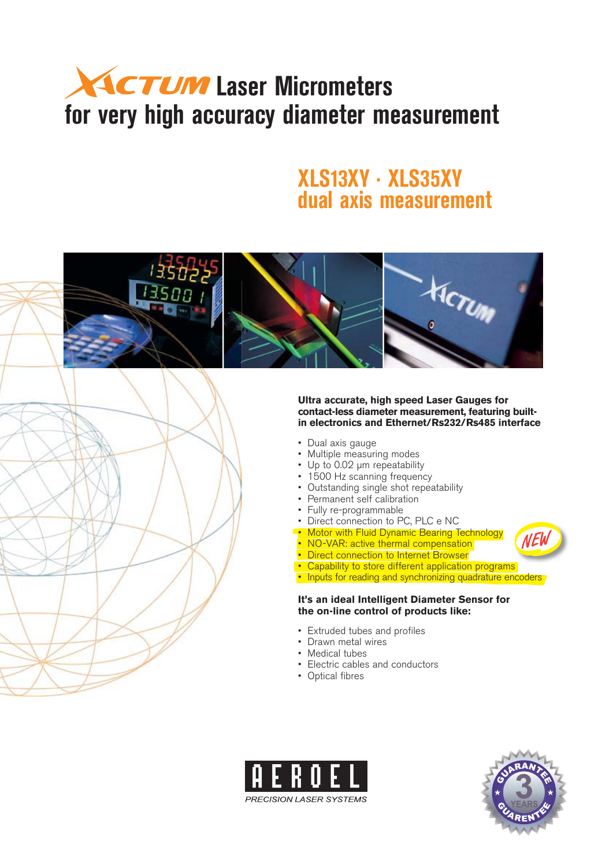# **ACTUM** Laser Micrometers **for very high accuracy diameter measurement**

### **XLS13XY · XLS35XY dual axis measurement**





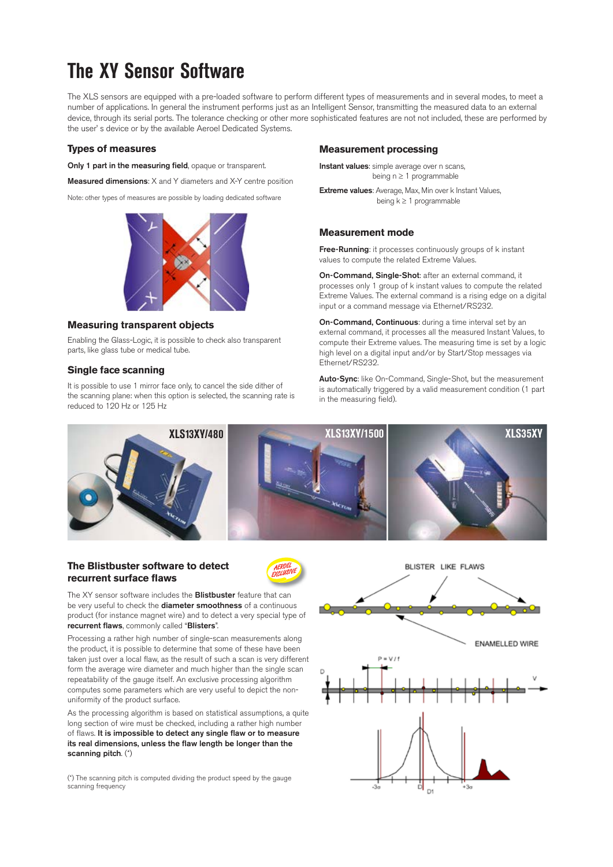## **The XY Sensor Software**

The XLS sensors are equipped with a pre-loaded software to perform different types of measurements and in several modes, to meet a number of applications. In general the instrument performs just as an Intelligent Sensor, transmitting the measured data to an external device, through its serial ports. The tolerance checking or other more sophisticated features are not not included, these are performed by the user' s device or by the available Aeroel Dedicated Systems.

#### **Types of measures**

**Only 1 part in the measuring field**, opaque or transparent.

**Measured dimensions**: X and Y diameters and X-Y centre position

Note: other types of measures are possible by loading dedicated software



#### **Measuring transparent objects**

Enabling the Glass-Logic, it is possible to check also transparent parts, like glass tube or medical tube.

#### **Single face scanning**

It is possible to use 1 mirror face only, to cancel the side dither of the scanning plane: when this option is selected, the scanning rate is reduced to 120 Hz or 125 Hz

#### **Measurement processing**

**Instant values**: simple average over n scans, being  $n \geq 1$  programmable

**Extreme values**: Average, Max, Min over k Instant Values, being  $k \ge 1$  programmable

#### **Measurement mode**

**Free-Running**: it processes continuously groups of k instant values to compute the related Extreme Values.

**On-Command, Single-Shot**: after an external command, it processes only 1 group of k instant values to compute the related Extreme Values. The external command is a rising edge on a digital input or a command message via Ethernet/RS232.

**On-Command, Continuous**: during a time interval set by an external command, it processes all the measured Instant Values, to compute their Extreme values. The measuring time is set by a logic high level on a digital input and/or by Start/Stop messages via Ethernet/RS232.

**Auto-Sync**: like On-Command, Single-Shot, but the measurement is automatically triggered by a valid measurement condition (1 part in the measuring field).



#### **The Blistbuster software to detect recurrent surface flaws**



The XY sensor software includes the **Blistbuster** feature that can be very useful to check the **diameter smoothness** of a continuous product (for instance magnet wire) and to detect a very special type of **recurrent flaws**, commonly called "**Blisters**".

Processing a rather high number of single-scan measurements along the product, it is possible to determine that some of these have been taken just over a local flaw, as the result of such a scan is very different form the average wire diameter and much higher than the single scan repeatability of the gauge itself. An exclusive processing algorithm computes some parameters which are very useful to depict the nonuniformity of the product surface.

As the processing algorithm is based on statistical assumptions, a quite long section of wire must be checked, including a rather high number of flaws. **It is impossible to detect any single flaw or to measure its real dimensions, unless the flaw length be longer than the scanning pitch**. (\*)

(\*) The scanning pitch is computed dividing the product speed by the gauge scanning frequency

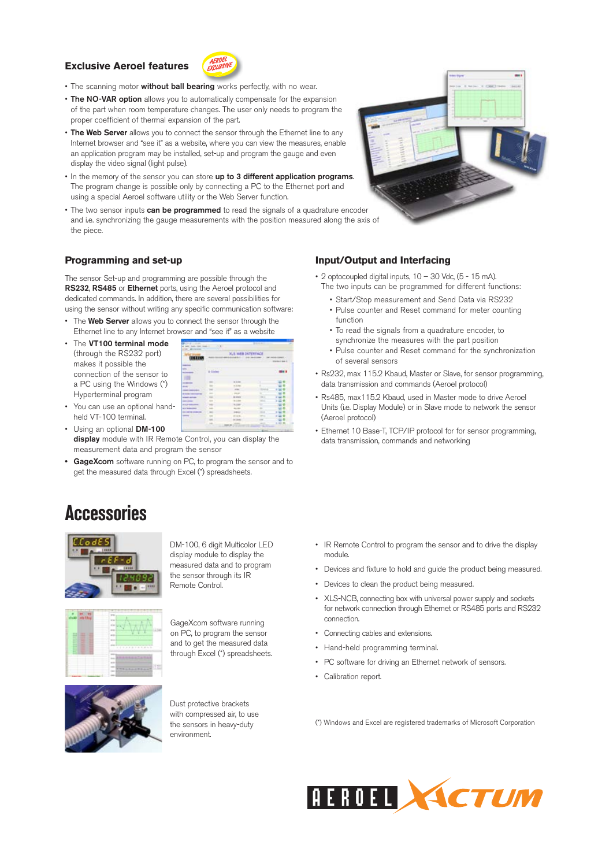#### **Exclusive Aeroel features**



- The scanning motor **without ball bearing** works perfectly, with no wear.
- **The NO-VAR option** allows you to automatically compensate for the expansion of the part when room temperature changes. The user only needs to program the proper coefficient of thermal expansion of the part.
- **The Web Server** allows you to connect the sensor through the Ethernet line to any Internet browser and "see it" as a website, where you can view the measures, enable an application program may be installed, set-up and program the gauge and even display the video signal (light pulse).
- In the memory of the sensor you can store **up to 3 different application programs**. The program change is possible only by connecting a PC to the Ethernet port and using a special Aeroel software utility or the Web Server function.
- The two sensor inputs **can be programmed** to read the signals of a quadrature encoder and i.e. synchronizing the gauge measurements with the position measured along the axis of the piece.

#### **Programming and set-up**

The sensor Set-up and programming are possible through the **RS232**, **RS485** or **Ethernet** ports, using the Aeroel protocol and dedicated commands. In addition, there are several possibilities for using the sensor without writing any specific communication software:

- The **Web Server** allows you to connect the sensor through the Ethernet line to any Internet browser and "see it" as a website
- The **VT100 terminal mode** (through the RS232 port) makes it possible the connection of the sensor to a PC using the Windows (\*) Hyperterminal program

|                        | <b>.XLS WEB INTERFACE</b>  |                 |  |        |  |  |  |
|------------------------|----------------------------|-----------------|--|--------|--|--|--|
| <b>HELIO</b>           |                            |                 |  | 1.0001 |  |  |  |
| <b>STATISTICS</b><br>÷ | <b><i><u>Video</u></i></b> |                 |  |        |  |  |  |
|                        |                            | to its men      |  |        |  |  |  |
|                        |                            |                 |  |        |  |  |  |
|                        |                            |                 |  |        |  |  |  |
|                        |                            | $-100$          |  |        |  |  |  |
| <b>START STORES</b>    |                            | <b>IN STATE</b> |  |        |  |  |  |
| ---                    |                            |                 |  |        |  |  |  |
| all of the management  |                            |                 |  |        |  |  |  |
| A DI MARCHANE          |                            |                 |  |        |  |  |  |
| <b>All Angeles</b>     |                            |                 |  |        |  |  |  |
| -                      |                            |                 |  |        |  |  |  |
|                        |                            |                 |  |        |  |  |  |
|                        |                            |                 |  | ٠      |  |  |  |

- You can use an optional handheld VT-100 terminal.
- Using an optional **DM-100**  J. **display** module with IR Remote Control, you can display the measurement data and program the sensor
- **GageXcom** software running on PC, to program the sensor and to get the measured data through Excel (\*) spreadsheets.

### **Accessories**



DM-100, 6 digit Multicolor LED display module to display the measured data and to program the sensor through its IR



Remote Control.



GageXcom software running on PC, to program the sensor and to get the measured data through Excel (\*) spreadsheets.



Dust protective brackets with compressed air, to use the sensors in heavy-duty environment.



#### **Input/Output and Interfacing**

- 2 optocoupled digital inputs, 10 30 Vdc, (5 15 mA). The two inputs can be programmed for different functions:
	- Start/Stop measurement and Send Data via RS232 • Pulse counter and Reset command for meter counting
	- function • To read the signals from a quadrature encoder, to
	- synchronize the measures with the part position
	- Pulse counter and Reset command for the synchronization of several sensors
- Rs232, max 115.2 Kbaud, Master or Slave, for sensor programming, data transmission and commands (Aeroel protocol)
- Rs485, max115.2 Kbaud, used in Master mode to drive Aeroel Units (i.e. Display Module) or in Slave mode to network the sensor (Aeroel protocol)
- Ethernet 10 Base-T, TCP/IP protocol for for sensor programming, data transmission, commands and networking

- IR Remote Control to program the sensor and to drive the display module.
- Devices and fixture to hold and guide the product being measured.
- Devices to clean the product being measured.
- XLS-NCB, connecting box with universal power supply and sockets for network connection through Ethernet or RS485 ports and RS232 connection.
- Connecting cables and extensions.
- Hand-held programming terminal.
- PC software for driving an Ethernet network of sensors.
- Calibration report.

(\*) Windows and Excel are registered trademarks of Microsoft Corporation